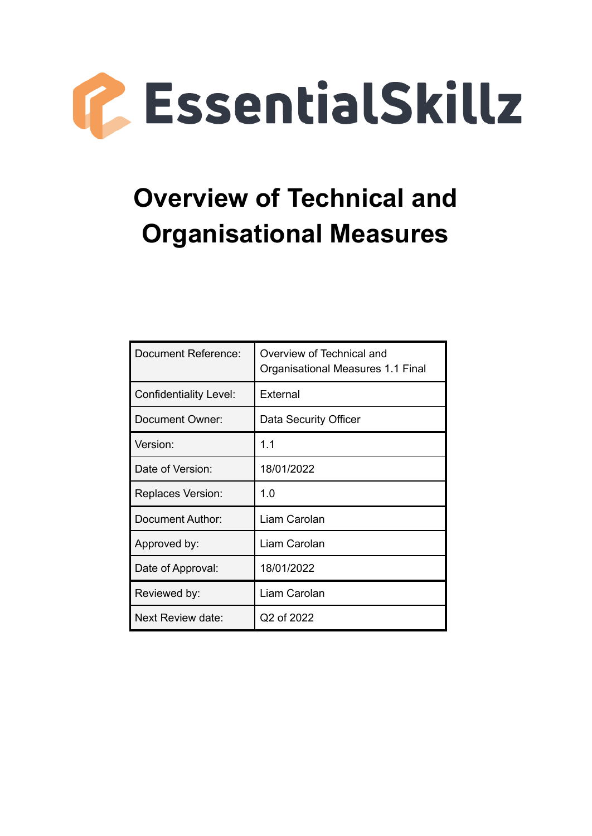

# **Overview of Technical and Organisational Measures**

| Document Reference:           | Overview of Technical and<br>Organisational Measures 1.1 Final |
|-------------------------------|----------------------------------------------------------------|
| <b>Confidentiality Level:</b> | External                                                       |
| Document Owner:               | Data Security Officer                                          |
| Version:                      | 1.1                                                            |
| Date of Version:              | 18/01/2022                                                     |
| <b>Replaces Version:</b>      | 1.0                                                            |
| Document Author:              | Liam Carolan                                                   |
| Approved by:                  | Liam Carolan                                                   |
| Date of Approval:             | 18/01/2022                                                     |
| Reviewed by:                  | Liam Carolan                                                   |
| Next Review date:             | Q2 of 2022                                                     |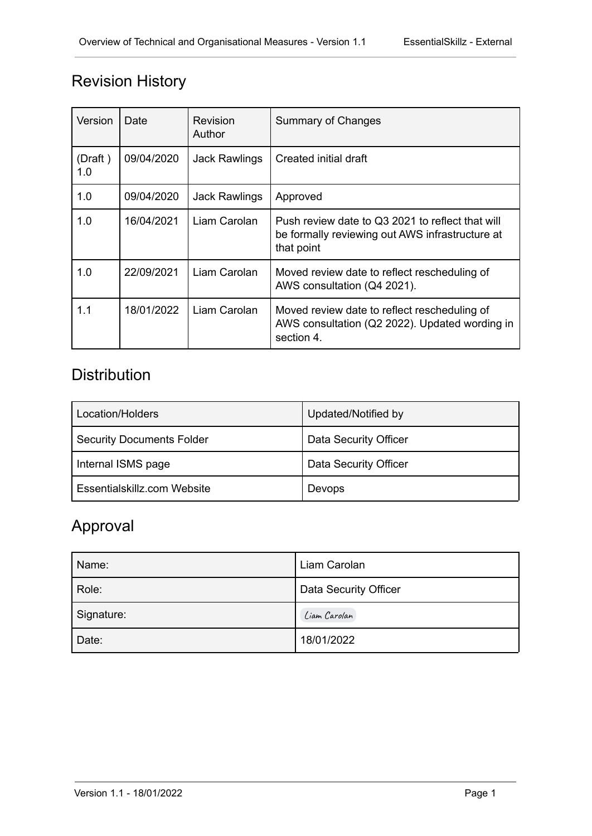# Revision History

| Version        | Date       | <b>Summary of Changes</b><br>Revision<br>Author |                                                                                                                   |
|----------------|------------|-------------------------------------------------|-------------------------------------------------------------------------------------------------------------------|
| (Draft)<br>1.0 | 09/04/2020 | <b>Jack Rawlings</b>                            | Created initial draft                                                                                             |
| 1.0            | 09/04/2020 | <b>Jack Rawlings</b>                            | Approved                                                                                                          |
| 1.0            | 16/04/2021 | Liam Carolan                                    | Push review date to Q3 2021 to reflect that will<br>be formally reviewing out AWS infrastructure at<br>that point |
| 1.0            | 22/09/2021 | Liam Carolan                                    | Moved review date to reflect rescheduling of<br>AWS consultation (Q4 2021).                                       |
| 1.1            | 18/01/2022 | Liam Carolan                                    | Moved review date to reflect rescheduling of<br>AWS consultation (Q2 2022). Updated wording in<br>section 4.      |

# **Distribution**

| Location/Holders                 | Updated/Notified by   |
|----------------------------------|-----------------------|
| <b>Security Documents Folder</b> | Data Security Officer |
| Internal ISMS page               | Data Security Officer |
| Essentialskillz.com Website      | Devops                |

# Approval

| Name:      | Liam Carolan          |
|------------|-----------------------|
| Role:      | Data Security Officer |
| Signature: | Liam Carolan          |
| Date:      | 18/01/2022            |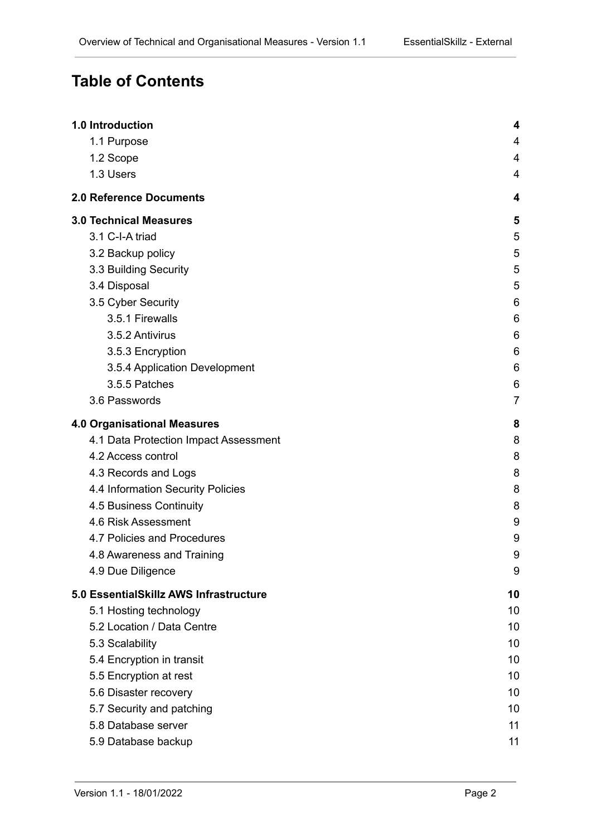# **Table of Contents**

| 1.0 Introduction                       | 4              |
|----------------------------------------|----------------|
| 1.1 Purpose                            | 4              |
| 1.2 Scope                              | 4              |
| 1.3 Users                              | 4              |
| <b>2.0 Reference Documents</b>         | 4              |
| <b>3.0 Technical Measures</b>          | 5              |
| 3.1 C-I-A triad                        | 5              |
| 3.2 Backup policy                      | 5              |
| 3.3 Building Security                  | 5              |
| 3.4 Disposal                           | 5              |
| 3.5 Cyber Security                     | 6              |
| 3.5.1 Firewalls                        | 6              |
| 3.5.2 Antivirus                        | 6              |
| 3.5.3 Encryption                       | 6              |
| 3.5.4 Application Development          | 6              |
| 3.5.5 Patches                          | 6              |
| 3.6 Passwords                          | $\overline{7}$ |
| <b>4.0 Organisational Measures</b>     | 8              |
| 4.1 Data Protection Impact Assessment  | 8              |
| 4.2 Access control                     | 8              |
| 4.3 Records and Logs                   | 8              |
| 4.4 Information Security Policies      | 8              |
| 4.5 Business Continuity                | 8              |
| 4.6 Risk Assessment                    | 9              |
| 4.7 Policies and Procedures            | 9              |
| 4.8 Awareness and Training             | 9              |
| 4.9 Due Diligence                      | 9              |
| 5.0 EssentialSkillz AWS Infrastructure | 10             |
| 5.1 Hosting technology                 | 10             |
| 5.2 Location / Data Centre             | 10             |
| 5.3 Scalability                        | 10             |
| 5.4 Encryption in transit              | 10             |
| 5.5 Encryption at rest                 | 10             |
| 5.6 Disaster recovery                  | 10             |
| 5.7 Security and patching              | 10             |
| 5.8 Database server                    | 11             |
| 5.9 Database backup                    | 11             |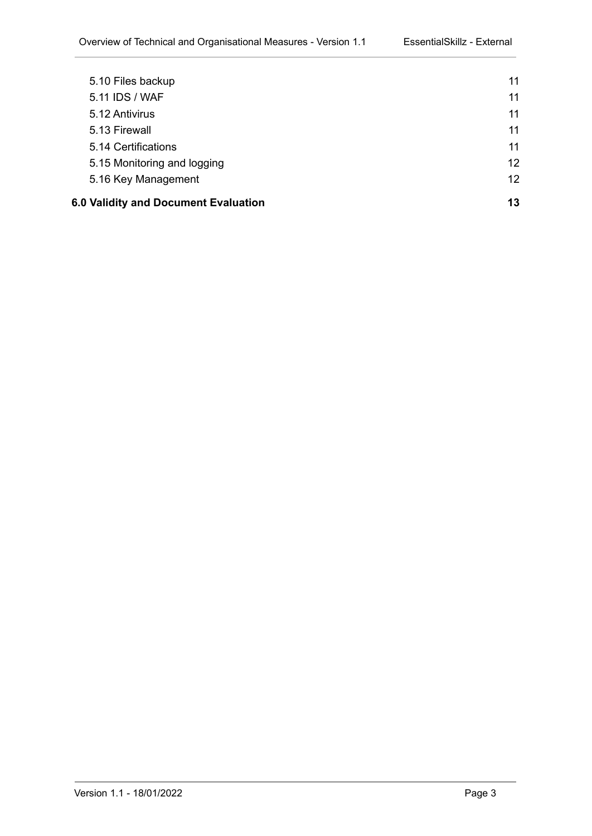| 6.0 Validity and Document Evaluation |                             | 13 |
|--------------------------------------|-----------------------------|----|
|                                      | 5.16 Key Management         | 12 |
|                                      | 5.15 Monitoring and logging | 12 |
|                                      | 5.14 Certifications         | 11 |
|                                      | 5.13 Firewall               | 11 |
|                                      | 5.12 Antivirus              | 11 |
|                                      | 5.11 IDS / WAF              | 11 |
|                                      | 5.10 Files backup           | 11 |
|                                      |                             |    |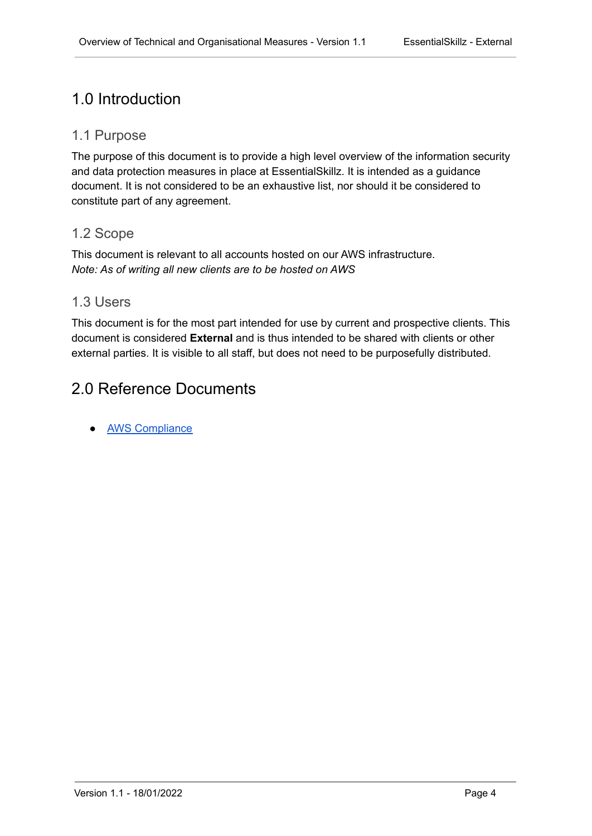# <span id="page-4-0"></span>1.0 Introduction

### <span id="page-4-1"></span>1.1 Purpose

The purpose of this document is to provide a high level overview of the information security and data protection measures in place at EssentialSkillz. It is intended as a guidance document. It is not considered to be an exhaustive list, nor should it be considered to constitute part of any agreement.

#### <span id="page-4-2"></span>1.2 Scope

This document is relevant to all accounts hosted on our AWS infrastructure. *Note: As of writing all new clients are to be hosted on AWS*

### <span id="page-4-3"></span>1.3 Users

This document is for the most part intended for use by current and prospective clients. This document is considered **External** and is thus intended to be shared with clients or other external parties. It is visible to all staff, but does not need to be purposefully distributed.

# <span id="page-4-4"></span>2.0 Reference Documents

**[AWS Compliance](https://aws.amazon.com/compliance/programs/)**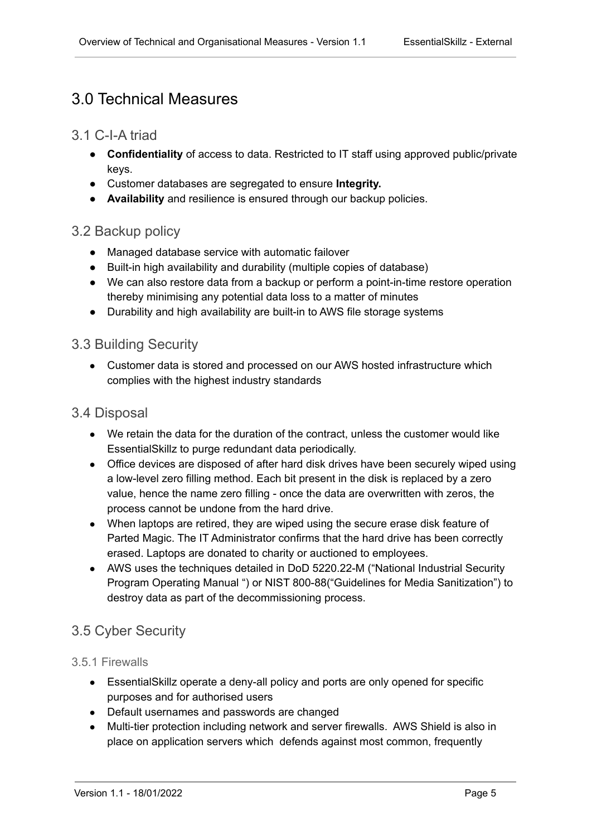# <span id="page-5-0"></span>3.0 Technical Measures

#### <span id="page-5-1"></span>3.1 C-I-A triad

- **Confidentiality** of access to data. Restricted to IT staff using approved public/private keys.
- Customer databases are segregated to ensure **Integrity.**
- **Availability** and resilience is ensured through our backup policies.

#### <span id="page-5-2"></span>3.2 Backup policy

- Managed database service with automatic failover
- Built-in high availability and durability (multiple copies of database)
- We can also restore data from a backup or perform a point-in-time restore operation thereby minimising any potential data loss to a matter of minutes
- Durability and high availability are built-in to AWS file storage systems

#### <span id="page-5-3"></span>3.3 Building Security

• Customer data is stored and processed on our AWS hosted infrastructure which complies with the highest industry standards

#### <span id="page-5-4"></span>3.4 Disposal

- We retain the data for the duration of the contract, unless the customer would like EssentialSkillz to purge redundant data periodically.
- Office devices are disposed of after hard disk drives have been securely wiped using a low-level zero filling method. Each bit present in the disk is replaced by a zero value, hence the name zero filling - once the data are overwritten with zeros, the process cannot be undone from the hard drive.
- When laptops are retired, they are wiped using the secure erase disk feature of Parted Magic. The IT Administrator confirms that the hard drive has been correctly erased. Laptops are donated to charity or auctioned to employees.
- AWS uses the techniques detailed in DoD 5220.22-M ("National Industrial Security Program Operating Manual ") or NIST 800-88("Guidelines for Media Sanitization") to destroy data as part of the decommissioning process.

### <span id="page-5-5"></span>3.5 Cyber Security

#### <span id="page-5-6"></span>3.5.1 Firewalls

- EssentialSkillz operate a deny-all policy and ports are only opened for specific purposes and for authorised users
- Default usernames and passwords are changed
- Multi-tier protection including network and server firewalls. AWS Shield is also in place on application servers which defends against most common, frequently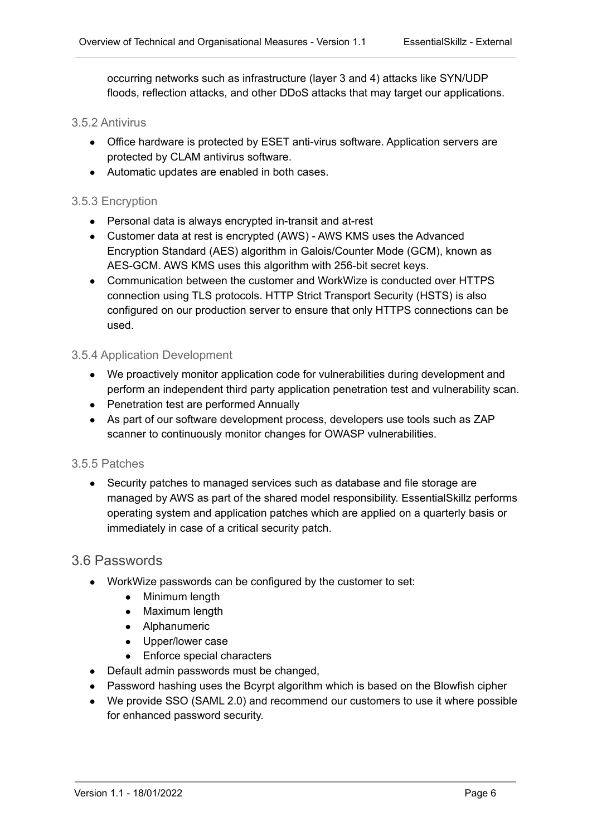occurring networks such as infrastructure (layer 3 and 4) attacks like SYN/UDP floods, reflection attacks, and other DDoS attacks that may target our applications.

#### <span id="page-6-0"></span>3.5.2 Antivirus

- Office hardware is protected by ESET anti-virus software. Application servers are protected by CLAM antivirus software.
- Automatic updates are enabled in both cases.

#### <span id="page-6-1"></span>3.5.3 Encryption

- Personal data is always encrypted in-transit and at-rest
- Customer data at rest is encrypted (AWS) AWS KMS uses the Advanced Encryption Standard (AES) algorithm in Galois/Counter Mode (GCM), known as AES-GCM. AWS KMS uses this algorithm with 256-bit secret keys.
- Communication between the customer and WorkWize is conducted over HTTPS connection using TLS protocols. HTTP Strict Transport Security (HSTS) is also configured on our production server to ensure that only HTTPS connections can be used.

#### <span id="page-6-2"></span>3.5.4 Application Development

- We proactively monitor application code for vulnerabilities during development and perform an independent third party application penetration test and vulnerability scan.
- Penetration test are performed Annually
- As part of our software development process, developers use tools such as ZAP scanner to continuously monitor changes for OWASP vulnerabilities.

#### <span id="page-6-3"></span>3.5.5 Patches

• Security patches to managed services such as database and file storage are managed by AWS as part of the shared model responsibility. EssentialSkillz performs operating system and application patches which are applied on a quarterly basis or immediately in case of a critical security patch.

#### <span id="page-6-4"></span>3.6 Passwords

- WorkWize passwords can be configured by the customer to set:
	- Minimum length
	- Maximum length
	- Alphanumeric
	- Upper/lower case
	- Enforce special characters
- Default admin passwords must be changed.
- Password hashing uses the Bcyrpt algorithm which is based on the Blowfish cipher
- We provide SSO (SAML 2.0) and recommend our customers to use it where possible for enhanced password security.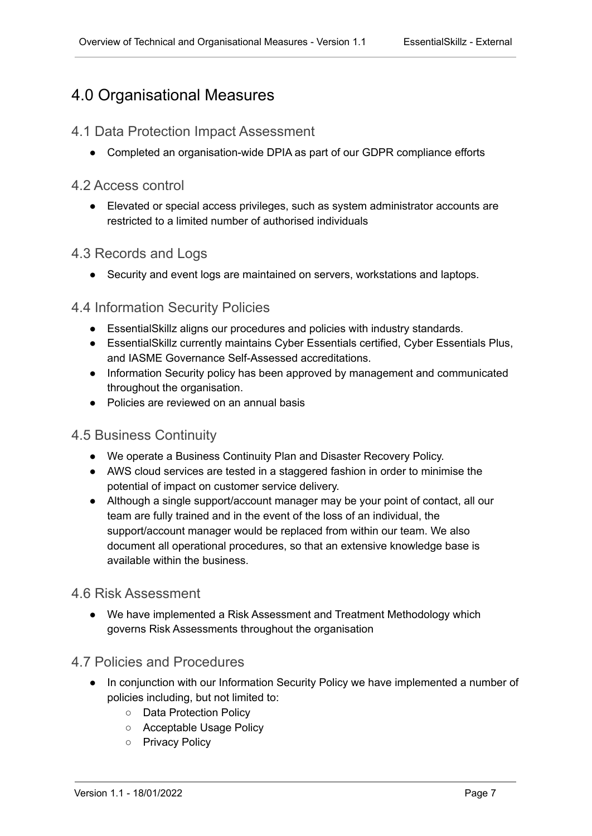# <span id="page-7-0"></span>4.0 Organisational Measures

### <span id="page-7-1"></span>4.1 Data Protection Impact Assessment

• Completed an organisation-wide DPIA as part of our GDPR compliance efforts

#### <span id="page-7-2"></span>4.2 Access control

● Elevated or special access privileges, such as system administrator accounts are restricted to a limited number of authorised individuals

### <span id="page-7-3"></span>4.3 Records and Logs

• Security and event logs are maintained on servers, workstations and laptops.

### <span id="page-7-4"></span>4.4 Information Security Policies

- EssentialSkillz aligns our procedures and policies with industry standards.
- EssentialSkillz currently maintains Cyber Essentials certified, Cyber Essentials Plus, and IASME Governance Self-Assessed accreditations.
- Information Security policy has been approved by management and communicated throughout the organisation.
- Policies are reviewed on an annual basis

#### <span id="page-7-5"></span>4.5 Business Continuity

- We operate a Business Continuity Plan and Disaster Recovery Policy.
- AWS cloud services are tested in a staggered fashion in order to minimise the potential of impact on customer service delivery.
- Although a single support/account manager may be your point of contact, all our team are fully trained and in the event of the loss of an individual, the support/account manager would be replaced from within our team. We also document all operational procedures, so that an extensive knowledge base is available within the business.

### <span id="page-7-6"></span>4.6 Risk Assessment

● We have implemented a Risk Assessment and Treatment Methodology which governs Risk Assessments throughout the organisation

### <span id="page-7-7"></span>4.7 Policies and Procedures

- In conjunction with our Information Security Policy we have implemented a number of policies including, but not limited to:
	- Data Protection Policy
	- Acceptable Usage Policy
	- Privacy Policy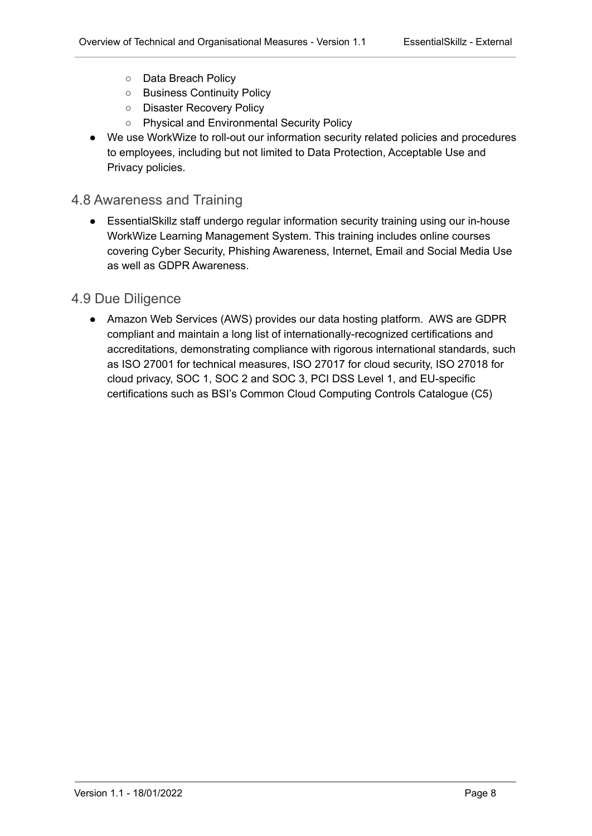- Data Breach Policy
- Business Continuity Policy
- Disaster Recovery Policy
- Physical and Environmental Security Policy
- We use WorkWize to roll-out our information security related policies and procedures to employees, including but not limited to Data Protection, Acceptable Use and Privacy policies.

### <span id="page-8-0"></span>4.8 Awareness and Training

● EssentialSkillz staff undergo regular information security training using our in-house WorkWize Learning Management System. This training includes online courses covering Cyber Security, Phishing Awareness, Internet, Email and Social Media Use as well as GDPR Awareness.

### <span id="page-8-1"></span>4.9 Due Diligence

• Amazon Web Services (AWS) provides our data hosting platform. AWS are GDPR compliant and maintain a long list of internationally-recognized certifications and accreditations, demonstrating compliance with rigorous international standards, such as ISO 27001 for technical measures, ISO 27017 for cloud security, ISO 27018 for cloud privacy, SOC 1, SOC 2 and SOC 3, PCI DSS Level 1, and EU-specific certifications such as BSI's Common Cloud Computing Controls Catalogue (C5)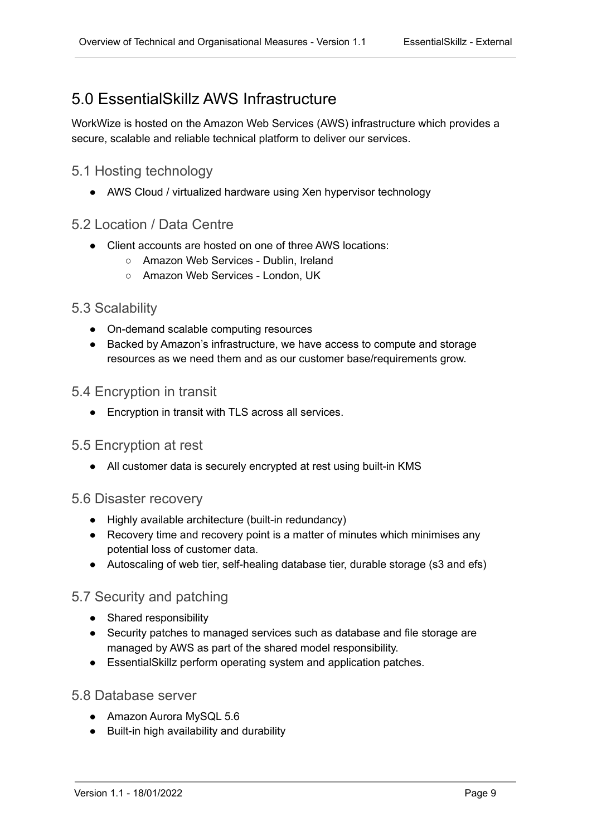# <span id="page-9-0"></span>5.0 EssentialSkillz AWS Infrastructure

WorkWize is hosted on the Amazon Web Services (AWS) infrastructure which provides a secure, scalable and reliable technical platform to deliver our services.

### <span id="page-9-1"></span>5.1 Hosting technology

● AWS Cloud / virtualized hardware using Xen hypervisor technology

#### <span id="page-9-2"></span>5.2 Location / Data Centre

- Client accounts are hosted on one of three AWS locations:
	- Amazon Web Services Dublin, Ireland
	- Amazon Web Services London, UK

#### <span id="page-9-3"></span>5.3 Scalability

- On-demand scalable computing resources
- Backed by Amazon's infrastructure, we have access to compute and storage resources as we need them and as our customer base/requirements grow.

#### <span id="page-9-4"></span>5.4 Encryption in transit

● Encryption in transit with TLS across all services.

#### <span id="page-9-5"></span>5.5 Encryption at rest

• All customer data is securely encrypted at rest using built-in KMS

#### <span id="page-9-6"></span>5.6 Disaster recovery

- Highly available architecture (built-in redundancy)
- Recovery time and recovery point is a matter of minutes which minimises any potential loss of customer data.
- Autoscaling of web tier, self-healing database tier, durable storage (s3 and efs)

### <span id="page-9-7"></span>5.7 Security and patching

- Shared responsibility
- Security patches to managed services such as database and file storage are managed by AWS as part of the shared model responsibility.
- EssentialSkillz perform operating system and application patches.

#### <span id="page-9-8"></span>5.8 Database server

- Amazon Aurora MySQL 5.6
- Built-in high availability and durability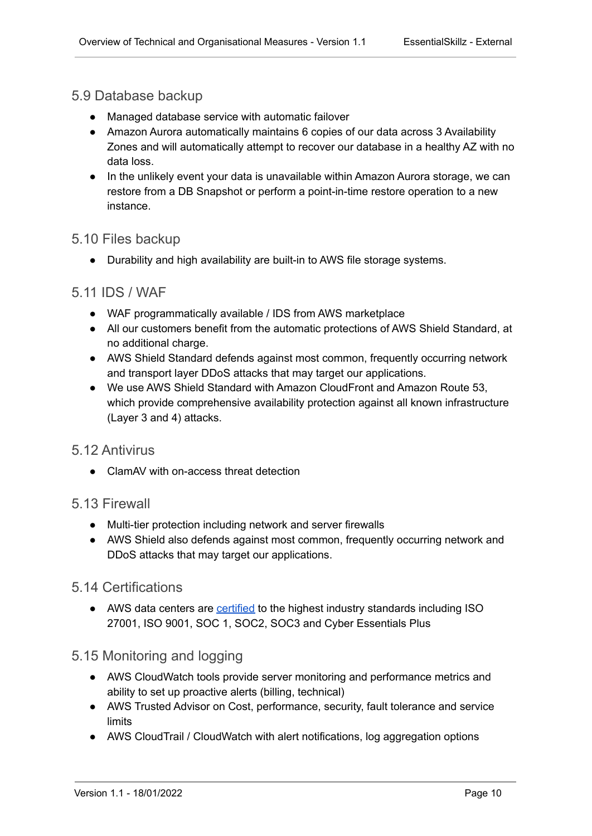#### <span id="page-10-0"></span>5.9 Database backup

- Managed database service with automatic failover
- Amazon Aurora automatically maintains 6 copies of our data across 3 Availability Zones and will automatically attempt to recover our database in a healthy AZ with no data loss.
- In the unlikely event your data is unavailable within Amazon Aurora storage, we can restore from a DB Snapshot or perform a point-in-time restore operation to a new instance.

#### <span id="page-10-1"></span>5.10 Files backup

● Durability and high availability are built-in to AWS file storage systems.

#### <span id="page-10-2"></span>5.11 IDS / WAF

- WAF programmatically available / IDS from AWS marketplace
- All our customers benefit from the automatic protections of AWS Shield Standard, at no additional charge.
- AWS Shield Standard defends against most common, frequently occurring network and transport layer DDoS attacks that may target our applications.
- We use AWS Shield Standard with Amazon CloudFront and Amazon Route 53, which provide comprehensive availability protection against all known infrastructure (Layer 3 and 4) attacks.

#### <span id="page-10-3"></span>5.12 Antivirus

● ClamAV with on-access threat detection

#### <span id="page-10-4"></span>5.13 Firewall

- Multi-tier protection including network and server firewalls
- AWS Shield also defends against most common, frequently occurring network and DDoS attacks that may target our applications.

#### <span id="page-10-5"></span>5.14 Certifications

● AWS data centers are [certified](https://aws.amazon.com/compliance/programs/) to the highest industry standards including ISO 27001, ISO 9001, SOC 1, SOC2, SOC3 and Cyber Essentials Plus

## <span id="page-10-6"></span>5.15 Monitoring and logging

- AWS CloudWatch tools provide server monitoring and performance metrics and ability to set up proactive alerts (billing, technical)
- AWS Trusted Advisor on Cost, performance, security, fault tolerance and service limits
- AWS CloudTrail / CloudWatch with alert notifications, log aggregation options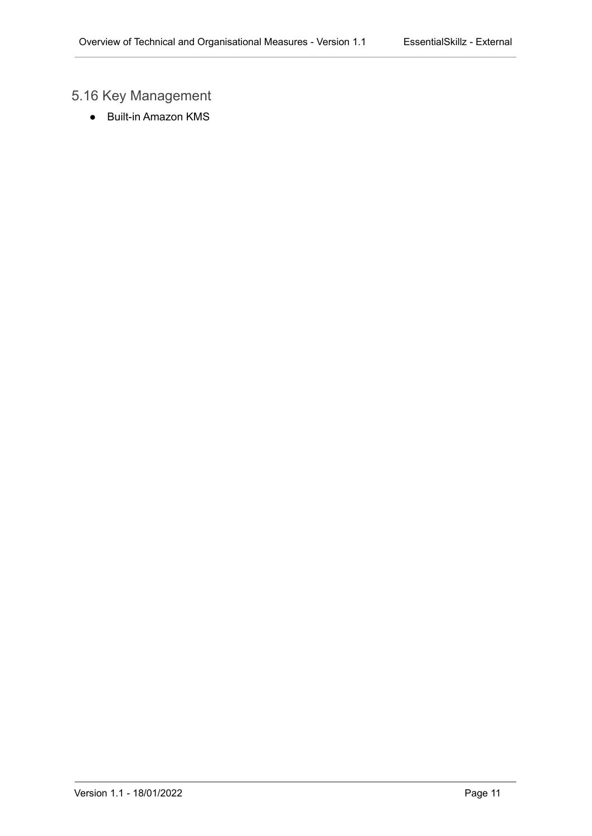# <span id="page-11-0"></span>5.16 Key Management

● Built-in Amazon KMS